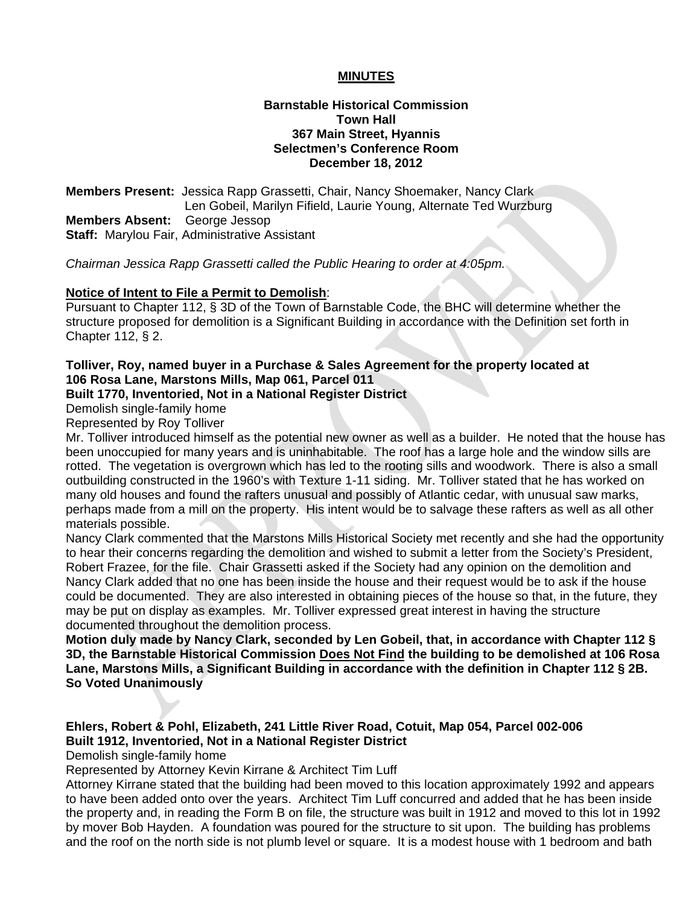## **MINUTES**

## **Barnstable Historical Commission Town Hall 367 Main Street, Hyannis Selectmen's Conference Room December 18, 2012**

**Members Present:** Jessica Rapp Grassetti, Chair, Nancy Shoemaker, Nancy Clark Len Gobeil, Marilyn Fifield, Laurie Young, Alternate Ted Wurzburg **Members Absent:** George Jessop **Staff:** Marylou Fair, Administrative Assistant

*Chairman Jessica Rapp Grassetti called the Public Hearing to order at 4:05pm.* 

### **Notice of Intent to File a Permit to Demolish**:

Pursuant to Chapter 112, § 3D of the Town of Barnstable Code, the BHC will determine whether the structure proposed for demolition is a Significant Building in accordance with the Definition set forth in Chapter 112, § 2.

# **Tolliver, Roy, named buyer in a Purchase & Sales Agreement for the property located at 106 Rosa Lane, Marstons Mills, Map 061, Parcel 011**

## **Built 1770, Inventoried, Not in a National Register District**

Demolish single-family home

Represented by Roy Tolliver

Mr. Tolliver introduced himself as the potential new owner as well as a builder. He noted that the house has been unoccupied for many years and is uninhabitable. The roof has a large hole and the window sills are rotted. The vegetation is overgrown which has led to the rooting sills and woodwork. There is also a small outbuilding constructed in the 1960's with Texture 1-11 siding. Mr. Tolliver stated that he has worked on many old houses and found the rafters unusual and possibly of Atlantic cedar, with unusual saw marks, perhaps made from a mill on the property. His intent would be to salvage these rafters as well as all other materials possible.

Nancy Clark commented that the Marstons Mills Historical Society met recently and she had the opportunity to hear their concerns regarding the demolition and wished to submit a letter from the Society's President, Robert Frazee, for the file. Chair Grassetti asked if the Society had any opinion on the demolition and Nancy Clark added that no one has been inside the house and their request would be to ask if the house could be documented. They are also interested in obtaining pieces of the house so that, in the future, they may be put on display as examples. Mr. Tolliver expressed great interest in having the structure documented throughout the demolition process.

**Motion duly made by Nancy Clark, seconded by Len Gobeil, that, in accordance with Chapter 112 § 3D, the Barnstable Historical Commission Does Not Find the building to be demolished at 106 Rosa Lane, Marstons Mills, a Significant Building in accordance with the definition in Chapter 112 § 2B. So Voted Unanimously**

# **Ehlers, Robert & Pohl, Elizabeth, 241 Little River Road, Cotuit, Map 054, Parcel 002-006 Built 1912, Inventoried, Not in a National Register District**

Demolish single-family home

Represented by Attorney Kevin Kirrane & Architect Tim Luff

Attorney Kirrane stated that the building had been moved to this location approximately 1992 and appears to have been added onto over the years. Architect Tim Luff concurred and added that he has been inside the property and, in reading the Form B on file, the structure was built in 1912 and moved to this lot in 1992 by mover Bob Hayden. A foundation was poured for the structure to sit upon. The building has problems and the roof on the north side is not plumb level or square. It is a modest house with 1 bedroom and bath